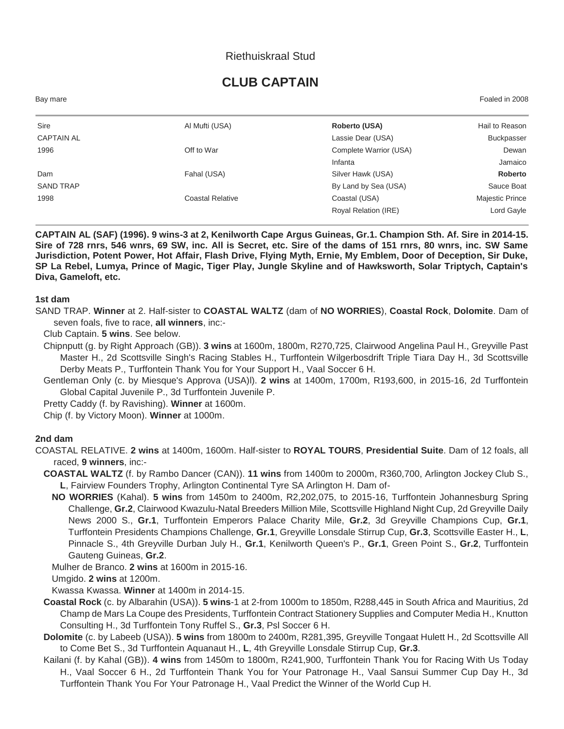## Riethuiskraal Stud

# **CLUB CAPTAIN**

Bay mare Foaled in 2008

| Sire              | Al Mufti (USA)          | Roberto (USA)          | Hail to Reason         |
|-------------------|-------------------------|------------------------|------------------------|
| <b>CAPTAIN AL</b> |                         | Lassie Dear (USA)      | <b>Buckpasser</b>      |
| 1996              | Off to War              | Complete Warrior (USA) | Dewan                  |
|                   |                         | Infanta                | Jamaico                |
| Dam               | Fahal (USA)             | Silver Hawk (USA)      | Roberto                |
| <b>SAND TRAP</b>  |                         | By Land by Sea (USA)   | Sauce Boat             |
| 1998              | <b>Coastal Relative</b> | Coastal (USA)          | <b>Majestic Prince</b> |
|                   |                         | Royal Relation (IRE)   | Lord Gayle             |
|                   |                         |                        |                        |

**CAPTAIN AL (SAF) (1996). 9 wins-3 at 2, Kenilworth Cape Argus Guineas, Gr.1. Champion Sth. Af. Sire in 2014-15. Sire of 728 rnrs, 546 wnrs, 69 SW, inc. All is Secret, etc. Sire of the dams of 151 rnrs, 80 wnrs, inc. SW Same Jurisdiction, Potent Power, Hot Affair, Flash Drive, Flying Myth, Ernie, My Emblem, Door of Deception, Sir Duke, SP La Rebel, Lumya, Prince of Magic, Tiger Play, Jungle Skyline and of Hawksworth, Solar Triptych, Captain's Diva, Gameloft, etc.**

#### **1st dam**

SAND TRAP. **Winner** at 2. Half-sister to **COASTAL WALTZ** (dam of **NO WORRIES**), **Coastal Rock**, **Dolomite**. Dam of seven foals, five to race, **all winners**, inc:-

Club Captain. **5 wins**. See below.

- Chipnputt (g. by Right Approach (GB)). **3 wins** at 1600m, 1800m, R270,725, Clairwood Angelina Paul H., Greyville Past Master H., 2d Scottsville Singh's Racing Stables H., Turffontein Wilgerbosdrift Triple Tiara Day H., 3d Scottsville Derby Meats P., Turffontein Thank You for Your Support H., Vaal Soccer 6 H.
- Gentleman Only (c. by Miesque's Approva (USA)l). **2 wins** at 1400m, 1700m, R193,600, in 2015-16, 2d Turffontein Global Capital Juvenile P., 3d Turffontein Juvenile P.

Pretty Caddy (f. by Ravishing). **Winner** at 1600m.

Chip (f. by Victory Moon). **Winner** at 1000m.

#### **2nd dam**

- COASTAL RELATIVE. **2 wins** at 1400m, 1600m. Half-sister to **ROYAL TOURS**, **Presidential Suite**. Dam of 12 foals, all raced, **9 winners**, inc:-
	- **COASTAL WALTZ** (f. by Rambo Dancer (CAN)). **11 wins** from 1400m to 2000m, R360,700, Arlington Jockey Club S., **L**, Fairview Founders Trophy, Arlington Continental Tyre SA Arlington H. Dam of-
		- **NO WORRIES** (Kahal). **5 wins** from 1450m to 2400m, R2,202,075, to 2015-16, Turffontein Johannesburg Spring Challenge, **Gr.2**, Clairwood Kwazulu-Natal Breeders Million Mile, Scottsville Highland Night Cup, 2d Greyville Daily News 2000 S., **Gr.1**, Turffontein Emperors Palace Charity Mile, **Gr.2**, 3d Greyville Champions Cup, **Gr.1**, Turffontein Presidents Champions Challenge, **Gr.1**, Greyville Lonsdale Stirrup Cup, **Gr.3**, Scottsville Easter H., **L**, Pinnacle S., 4th Greyville Durban July H., **Gr.1**, Kenilworth Queen's P., **Gr.1**, Green Point S., **Gr.2**, Turffontein Gauteng Guineas, **Gr.2**.

Mulher de Branco. **2 wins** at 1600m in 2015-16.

Umgido. **2 wins** at 1200m.

Kwassa Kwassa. **Winner** at 1400m in 2014-15.

- **Coastal Rock** (c. by Albarahin (USA)). **5 wins**-1 at 2-from 1000m to 1850m, R288,445 in South Africa and Mauritius, 2d Champ de Mars La Coupe des Presidents, Turffontein Contract Stationery Supplies and Computer Media H., Knutton Consulting H., 3d Turffontein Tony Ruffel S., **Gr.3**, Psl Soccer 6 H.
- **Dolomite** (c. by Labeeb (USA)). **5 wins** from 1800m to 2400m, R281,395, Greyville Tongaat Hulett H., 2d Scottsville All to Come Bet S., 3d Turffontein Aquanaut H., **L**, 4th Greyville Lonsdale Stirrup Cup, **Gr.3**.
- Kailani (f. by Kahal (GB)). **4 wins** from 1450m to 1800m, R241,900, Turffontein Thank You for Racing With Us Today H., Vaal Soccer 6 H., 2d Turffontein Thank You for Your Patronage H., Vaal Sansui Summer Cup Day H., 3d Turffontein Thank You For Your Patronage H., Vaal Predict the Winner of the World Cup H.